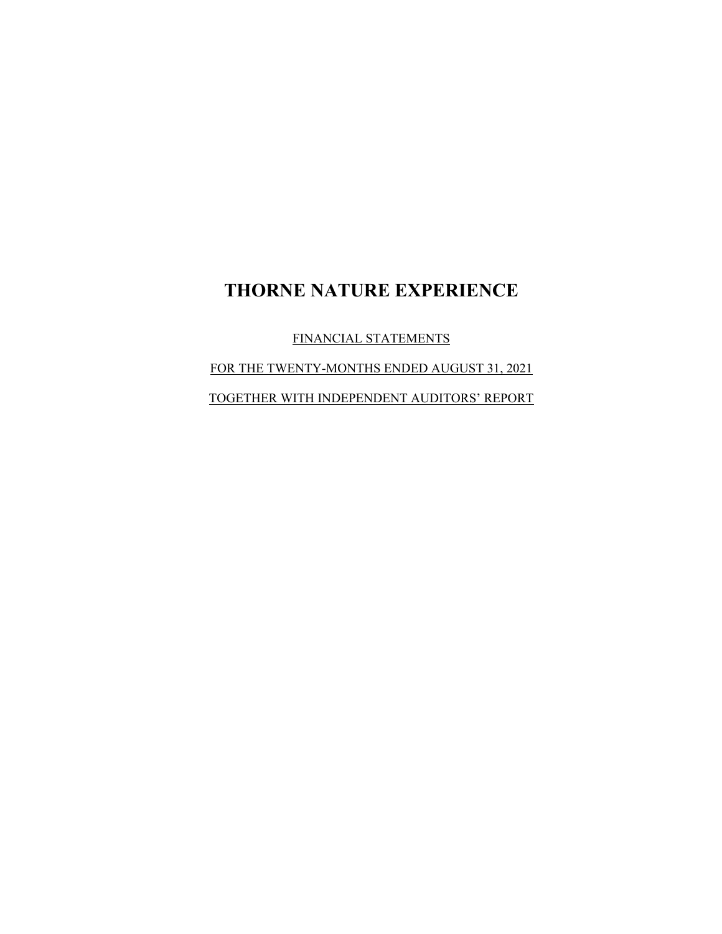FINANCIAL STATEMENTS

FOR THE TWENTY-MONTHS ENDED AUGUST 31, 2021

TOGETHER WITH INDEPENDENT AUDITORS' REPORT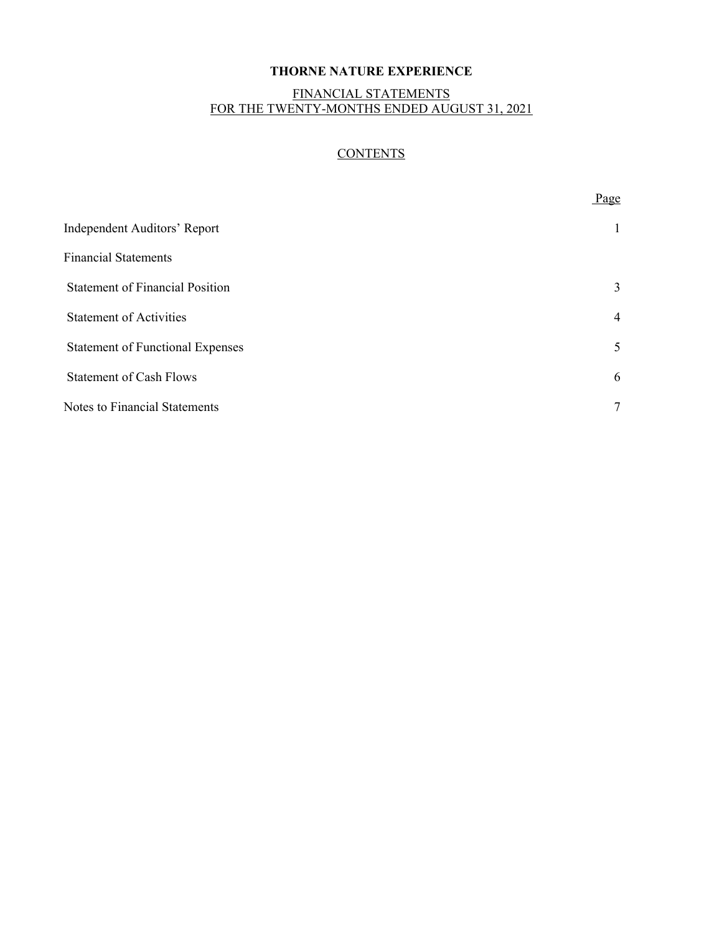# FINANCIAL STATEMENTS FOR THE TWENTY-MONTHS ENDED AUGUST 31, 2021

# **CONTENTS**

|                                         | Page            |
|-----------------------------------------|-----------------|
| <b>Independent Auditors' Report</b>     | $\mathbf{1}$    |
| <b>Financial Statements</b>             |                 |
| <b>Statement of Financial Position</b>  | 3               |
| <b>Statement of Activities</b>          | $\overline{4}$  |
| <b>Statement of Functional Expenses</b> | 5               |
| <b>Statement of Cash Flows</b>          | 6               |
| Notes to Financial Statements           | $7\phantom{.0}$ |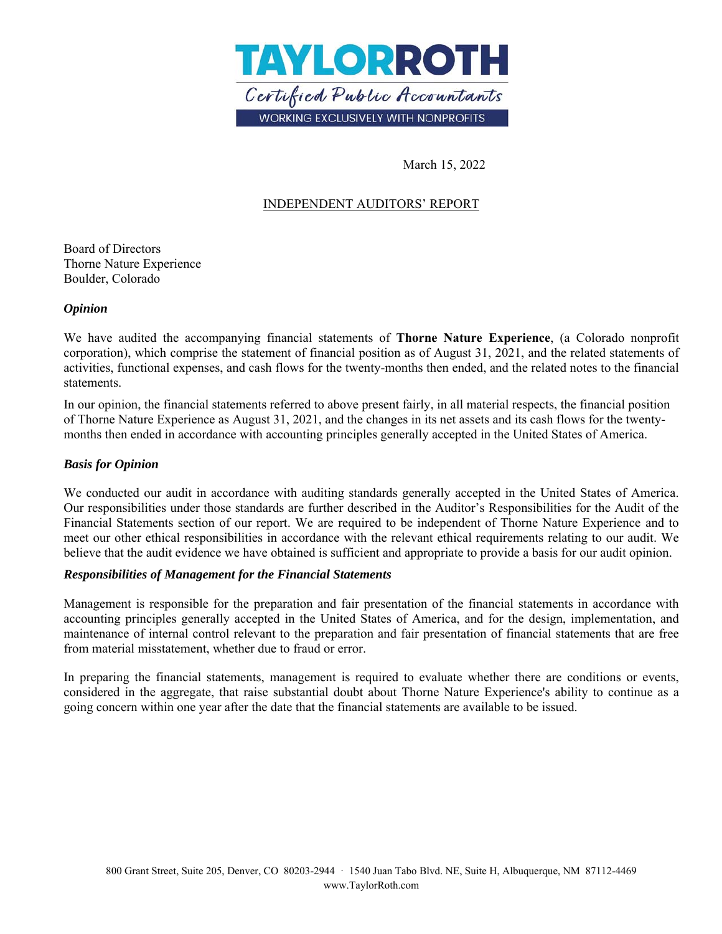

March 15, 2022

# INDEPENDENT AUDITORS' REPORT

Board of Directors Thorne Nature Experience Boulder, Colorado

#### *Opinion*

We have audited the accompanying financial statements of **Thorne Nature Experience**, (a Colorado nonprofit corporation), which comprise the statement of financial position as of August 31, 2021, and the related statements of activities, functional expenses, and cash flows for the twenty-months then ended, and the related notes to the financial statements.

In our opinion, the financial statements referred to above present fairly, in all material respects, the financial position of Thorne Nature Experience as August 31, 2021, and the changes in its net assets and its cash flows for the twentymonths then ended in accordance with accounting principles generally accepted in the United States of America.

### *Basis for Opinion*

We conducted our audit in accordance with auditing standards generally accepted in the United States of America. Our responsibilities under those standards are further described in the Auditor's Responsibilities for the Audit of the Financial Statements section of our report. We are required to be independent of Thorne Nature Experience and to meet our other ethical responsibilities in accordance with the relevant ethical requirements relating to our audit. We believe that the audit evidence we have obtained is sufficient and appropriate to provide a basis for our audit opinion.

### *Responsibilities of Management for the Financial Statements*

Management is responsible for the preparation and fair presentation of the financial statements in accordance with accounting principles generally accepted in the United States of America, and for the design, implementation, and maintenance of internal control relevant to the preparation and fair presentation of financial statements that are free from material misstatement, whether due to fraud or error.

In preparing the financial statements, management is required to evaluate whether there are conditions or events, considered in the aggregate, that raise substantial doubt about Thorne Nature Experience's ability to continue as a going concern within one year after the date that the financial statements are available to be issued.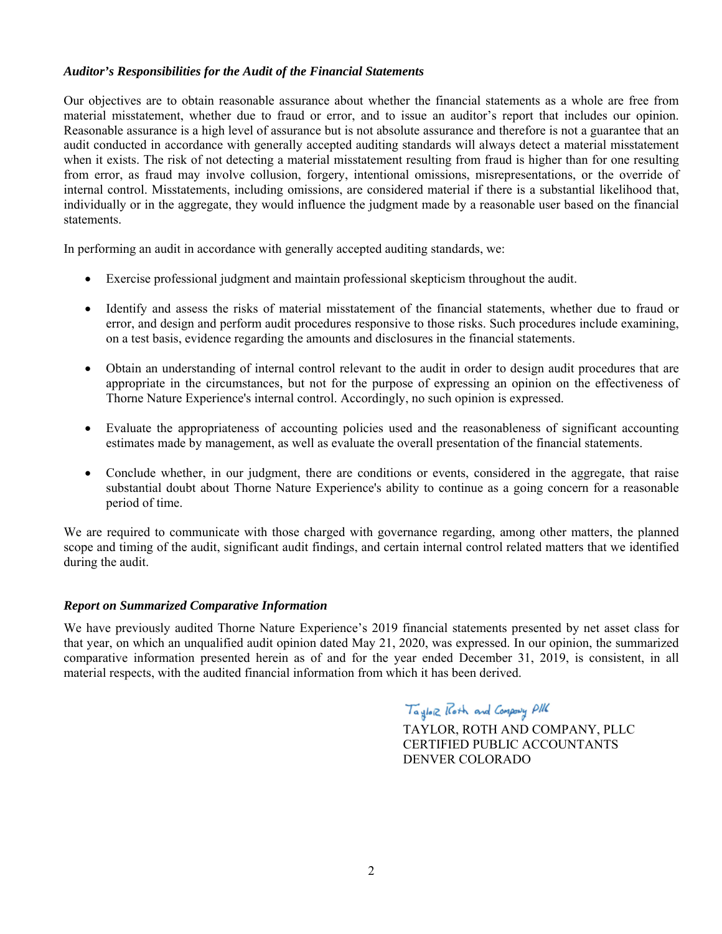### *Auditor's Responsibilities for the Audit of the Financial Statements*

Our objectives are to obtain reasonable assurance about whether the financial statements as a whole are free from material misstatement, whether due to fraud or error, and to issue an auditor's report that includes our opinion. Reasonable assurance is a high level of assurance but is not absolute assurance and therefore is not a guarantee that an audit conducted in accordance with generally accepted auditing standards will always detect a material misstatement when it exists. The risk of not detecting a material misstatement resulting from fraud is higher than for one resulting from error, as fraud may involve collusion, forgery, intentional omissions, misrepresentations, or the override of internal control. Misstatements, including omissions, are considered material if there is a substantial likelihood that, individually or in the aggregate, they would influence the judgment made by a reasonable user based on the financial statements.

In performing an audit in accordance with generally accepted auditing standards, we:

- Exercise professional judgment and maintain professional skepticism throughout the audit.
- Identify and assess the risks of material misstatement of the financial statements, whether due to fraud or error, and design and perform audit procedures responsive to those risks. Such procedures include examining, on a test basis, evidence regarding the amounts and disclosures in the financial statements.
- Obtain an understanding of internal control relevant to the audit in order to design audit procedures that are appropriate in the circumstances, but not for the purpose of expressing an opinion on the effectiveness of Thorne Nature Experience's internal control. Accordingly, no such opinion is expressed.
- Evaluate the appropriateness of accounting policies used and the reasonableness of significant accounting estimates made by management, as well as evaluate the overall presentation of the financial statements.
- Conclude whether, in our judgment, there are conditions or events, considered in the aggregate, that raise substantial doubt about Thorne Nature Experience's ability to continue as a going concern for a reasonable period of time.

We are required to communicate with those charged with governance regarding, among other matters, the planned scope and timing of the audit, significant audit findings, and certain internal control related matters that we identified during the audit.

#### *Report on Summarized Comparative Information*

We have previously audited Thorne Nature Experience's 2019 financial statements presented by net asset class for that year, on which an unqualified audit opinion dated May 21, 2020, was expressed. In our opinion, the summarized comparative information presented herein as of and for the year ended December 31, 2019, is consistent, in all material respects, with the audited financial information from which it has been derived.

Taylor Roth and Company PIK

 TAYLOR, ROTH AND COMPANY, PLLC CERTIFIED PUBLIC ACCOUNTANTS DENVER COLORADO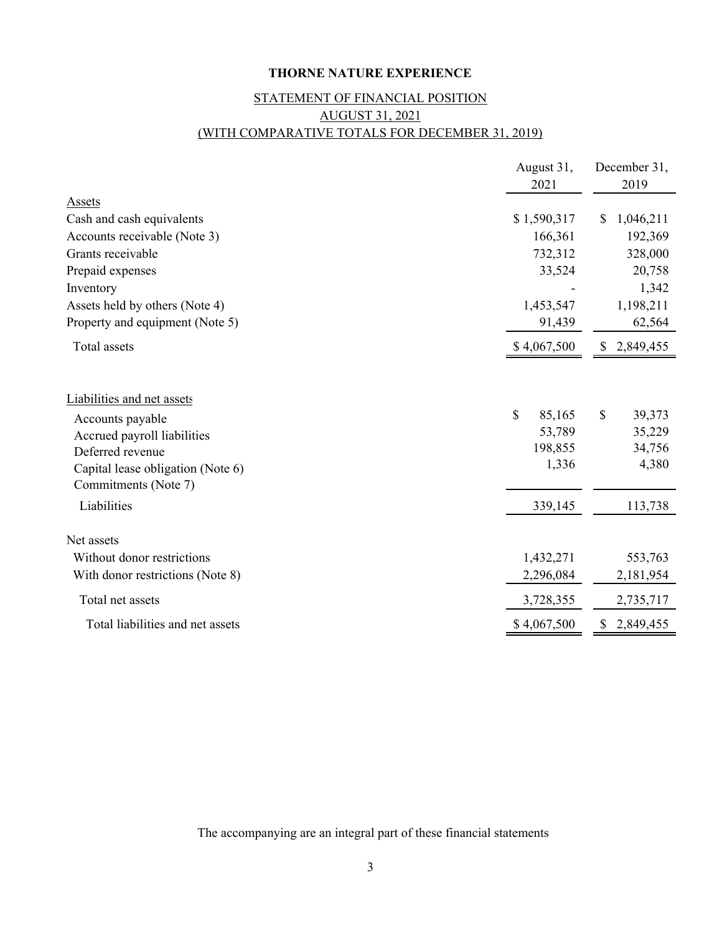# STATEMENT OF FINANCIAL POSITION AUGUST 31, 2021 (WITH COMPARATIVE TOTALS FOR DECEMBER 31, 2019)

|                                                           | August 31,<br>2021 | December 31,<br>2019 |
|-----------------------------------------------------------|--------------------|----------------------|
| Assets                                                    |                    |                      |
| Cash and cash equivalents                                 | \$1,590,317        | 1,046,211<br>\$      |
| Accounts receivable (Note 3)                              | 166,361            | 192,369              |
| Grants receivable                                         | 732,312            | 328,000              |
| Prepaid expenses                                          | 33,524             | 20,758               |
| Inventory                                                 |                    | 1,342                |
| Assets held by others (Note 4)                            | 1,453,547          | 1,198,211            |
| Property and equipment (Note 5)                           | 91,439             | 62,564               |
| Total assets                                              | \$4,067,500        | \$2,849,455          |
| Liabilities and net assets                                |                    |                      |
| Accounts payable                                          | \$<br>85,165       | \$<br>39,373         |
| Accrued payroll liabilities                               | 53,789             | 35,229               |
| Deferred revenue                                          | 198,855            | 34,756               |
| Capital lease obligation (Note 6)<br>Commitments (Note 7) | 1,336              | 4,380                |
| Liabilities                                               | 339,145            | 113,738              |
| Net assets                                                |                    |                      |
| Without donor restrictions                                | 1,432,271          | 553,763              |
| With donor restrictions (Note 8)                          | 2,296,084          | 2,181,954            |
| Total net assets                                          | 3,728,355          | 2,735,717            |
| Total liabilities and net assets                          | \$4,067,500        | 2,849,455<br>S       |

The accompanying are an integral part of these financial statements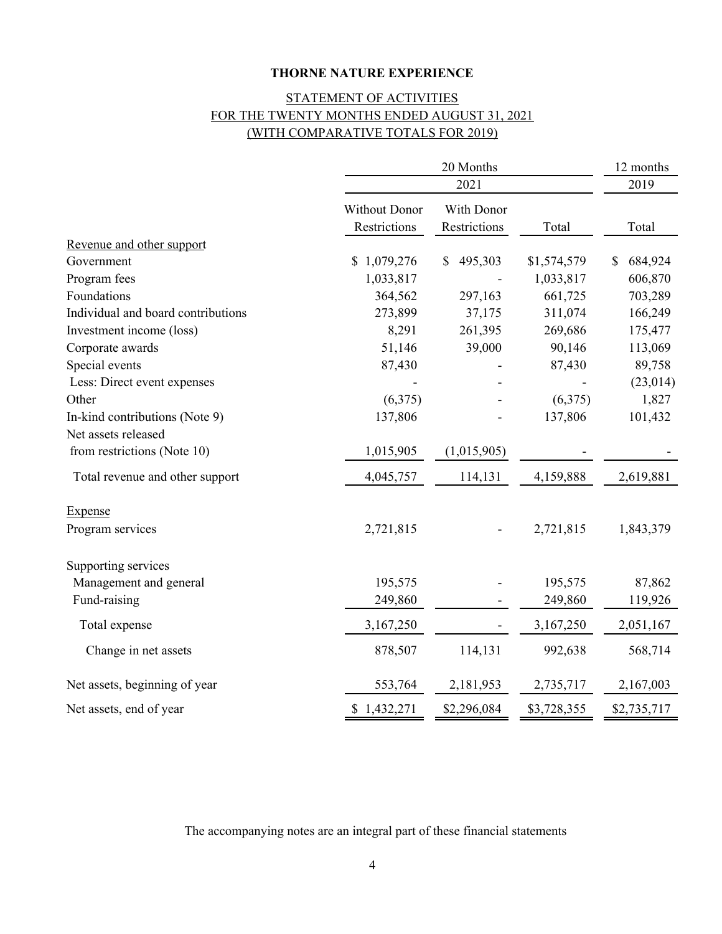# STATEMENT OF ACTIVITIES FOR THE TWENTY MONTHS ENDED AUGUST 31, 2021 (WITH COMPARATIVE TOTALS FOR 2019)

|                                    | 20 Months<br>2021                    |                            |             | 12 months<br>2019 |  |
|------------------------------------|--------------------------------------|----------------------------|-------------|-------------------|--|
|                                    |                                      |                            |             |                   |  |
|                                    | <b>Without Donor</b><br>Restrictions | With Donor<br>Restrictions | Total       | Total             |  |
| Revenue and other support          |                                      |                            |             |                   |  |
| Government                         | \$1,079,276                          | 495,303<br>\$              | \$1,574,579 | 684,924<br>\$     |  |
| Program fees                       | 1,033,817                            |                            | 1,033,817   | 606,870           |  |
| Foundations                        | 364,562                              | 297,163                    | 661,725     | 703,289           |  |
| Individual and board contributions | 273,899                              | 37,175                     | 311,074     | 166,249           |  |
| Investment income (loss)           | 8,291                                | 261,395                    | 269,686     | 175,477           |  |
| Corporate awards                   | 51,146                               | 39,000                     | 90,146      | 113,069           |  |
| Special events                     | 87,430                               |                            | 87,430      | 89,758            |  |
| Less: Direct event expenses        |                                      |                            |             | (23, 014)         |  |
| Other                              | (6,375)                              |                            | (6,375)     | 1,827             |  |
| In-kind contributions (Note 9)     | 137,806                              |                            | 137,806     | 101,432           |  |
| Net assets released                |                                      |                            |             |                   |  |
| from restrictions (Note 10)        | 1,015,905                            | (1,015,905)                |             |                   |  |
| Total revenue and other support    | 4,045,757                            | 114,131                    | 4,159,888   | 2,619,881         |  |
| <b>Expense</b>                     |                                      |                            |             |                   |  |
| Program services                   | 2,721,815                            |                            | 2,721,815   | 1,843,379         |  |
| Supporting services                |                                      |                            |             |                   |  |
| Management and general             | 195,575                              |                            | 195,575     | 87,862            |  |
| Fund-raising                       | 249,860                              |                            | 249,860     | 119,926           |  |
| Total expense                      | 3,167,250                            |                            | 3,167,250   | 2,051,167         |  |
| Change in net assets               | 878,507                              | 114,131                    | 992,638     | 568,714           |  |
| Net assets, beginning of year      | 553,764                              | 2,181,953                  | 2,735,717   | 2,167,003         |  |
| Net assets, end of year            | \$1,432,271                          | \$2,296,084                | \$3,728,355 | \$2,735,717       |  |

The accompanying notes are an integral part of these financial statements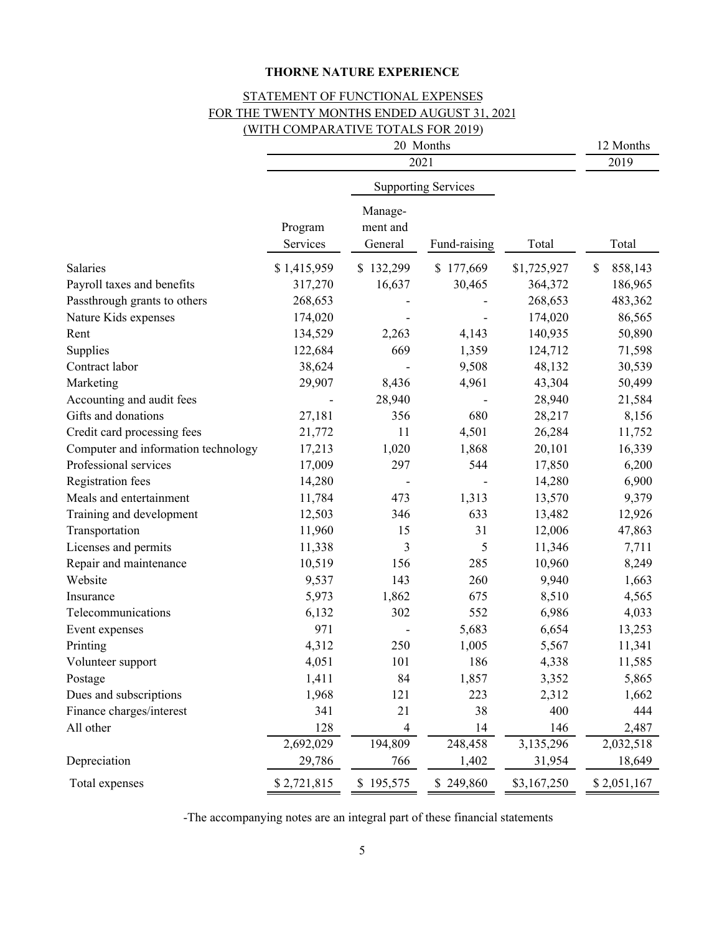# STATEMENT OF FUNCTIONAL EXPENSES FOR THE TWENTY MONTHS ENDED AUGUST 31, 2021 (WITH COMPARATIVE TOTALS FOR 2019)

|                                     | 20 Months           |                                |                            | 12 Months   |               |
|-------------------------------------|---------------------|--------------------------------|----------------------------|-------------|---------------|
|                                     | 2021                |                                |                            |             | 2019          |
|                                     |                     |                                | <b>Supporting Services</b> |             |               |
|                                     | Program<br>Services | Manage-<br>ment and<br>General | Fund-raising               | Total       | Total         |
| Salaries                            | \$1,415,959         | \$132,299                      | \$177,669                  | \$1,725,927 | 858,143<br>\$ |
| Payroll taxes and benefits          | 317,270             | 16,637                         | 30,465                     | 364,372     | 186,965       |
| Passthrough grants to others        | 268,653             |                                |                            | 268,653     | 483,362       |
| Nature Kids expenses                | 174,020             |                                |                            | 174,020     | 86,565        |
| Rent                                | 134,529             | 2,263                          | 4,143                      | 140,935     | 50,890        |
| Supplies                            | 122,684             | 669                            | 1,359                      | 124,712     | 71,598        |
| Contract labor                      | 38,624              |                                | 9,508                      | 48,132      | 30,539        |
| Marketing                           | 29,907              | 8,436                          | 4,961                      | 43,304      | 50,499        |
| Accounting and audit fees           |                     | 28,940                         |                            | 28,940      | 21,584        |
| Gifts and donations                 | 27,181              | 356                            | 680                        | 28,217      | 8,156         |
| Credit card processing fees         | 21,772              | 11                             | 4,501                      | 26,284      | 11,752        |
| Computer and information technology | 17,213              | 1,020                          | 1,868                      | 20,101      | 16,339        |
| Professional services               | 17,009              | 297                            | 544                        | 17,850      | 6,200         |
| <b>Registration fees</b>            | 14,280              |                                |                            | 14,280      | 6,900         |
| Meals and entertainment             | 11,784              | 473                            | 1,313                      | 13,570      | 9,379         |
| Training and development            | 12,503              | 346                            | 633                        | 13,482      | 12,926        |
| Transportation                      | 11,960              | 15                             | 31                         | 12,006      | 47,863        |
| Licenses and permits                | 11,338              | 3                              | 5                          | 11,346      | 7,711         |
| Repair and maintenance              | 10,519              | 156                            | 285                        | 10,960      | 8,249         |
| Website                             | 9,537               | 143                            | 260                        | 9,940       | 1,663         |
| Insurance                           | 5,973               | 1,862                          | 675                        | 8,510       | 4,565         |
| Telecommunications                  | 6,132               | 302                            | 552                        | 6,986       | 4,033         |
| Event expenses                      | 971                 |                                | 5,683                      | 6,654       | 13,253        |
| Printing                            | 4,312               | 250                            | 1,005                      | 5,567       | 11,341        |
| Volunteer support                   | 4,051               | 101                            | 186                        | 4,338       | 11,585        |
| Postage                             | 1,411               | 84                             | 1,857                      | 3,352       | 5,865         |
| Dues and subscriptions              | 1,968               | 121                            | 223                        | 2,312       | 1,662         |
| Finance charges/interest            | 341                 | 21                             | 38                         | 400         | 444           |
| All other                           | 128                 | 4                              | 14                         | 146         | 2,487         |
|                                     | 2,692,029           | 194,809                        | 248,458                    | 3,135,296   | 2,032,518     |
| Depreciation                        | 29,786              | 766                            | 1,402                      | 31,954      | 18,649        |
| Total expenses                      | \$2,721,815         | \$195,575                      | \$249,860                  | \$3,167,250 | \$2,051,167   |

-The accompanying notes are an integral part of these financial statements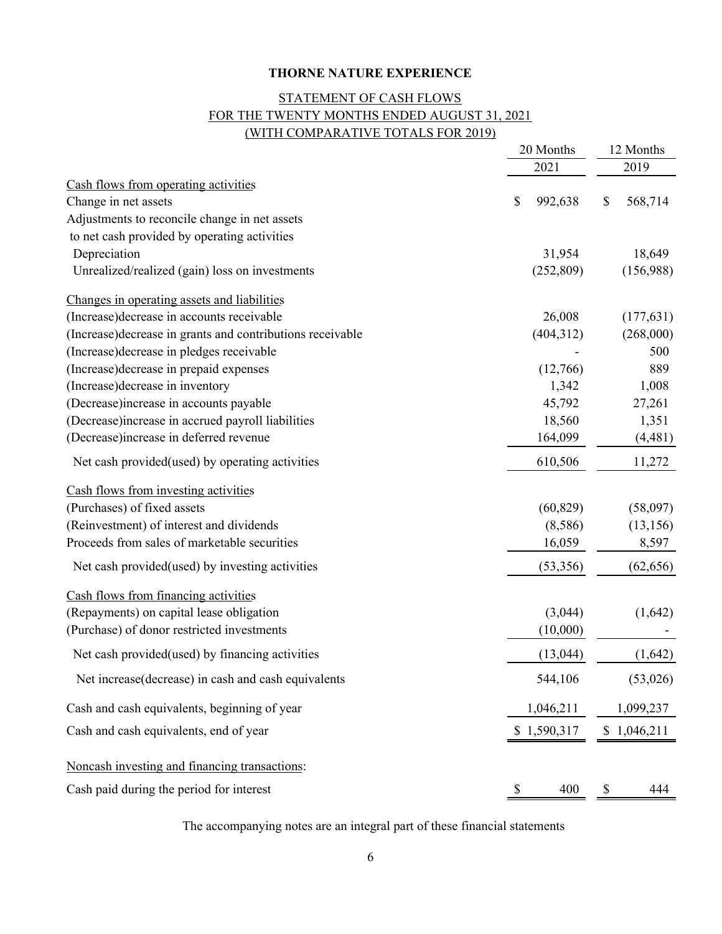# (WITH COMPARATIVE TOTALS FOR 2019) STATEMENT OF CASH FLOWS FOR THE TWENTY MONTHS ENDED AUGUST 31, 2021

|                                                            | 20 Months    |             | 12 Months |             |
|------------------------------------------------------------|--------------|-------------|-----------|-------------|
|                                                            |              | 2021        |           | 2019        |
| Cash flows from operating activities                       |              |             |           |             |
| Change in net assets                                       | \$           | 992,638     | \$        | 568,714     |
| Adjustments to reconcile change in net assets              |              |             |           |             |
| to net cash provided by operating activities               |              |             |           |             |
| Depreciation                                               |              | 31,954      |           | 18,649      |
| Unrealized/realized (gain) loss on investments             |              | (252, 809)  |           | (156,988)   |
| Changes in operating assets and liabilities                |              |             |           |             |
| (Increase) decrease in accounts receivable                 |              | 26,008      |           | (177, 631)  |
| (Increase) decrease in grants and contributions receivable |              | (404, 312)  |           | (268,000)   |
| (Increase) decrease in pledges receivable                  |              |             |           | 500         |
| (Increase) decrease in prepaid expenses                    |              | (12,766)    |           | 889         |
| (Increase) decrease in inventory                           |              | 1,342       |           | 1,008       |
| (Decrease)increase in accounts payable                     |              | 45,792      |           | 27,261      |
| (Decrease) increase in accrued payroll liabilities         |              | 18,560      |           | 1,351       |
| (Decrease)increase in deferred revenue                     |              | 164,099     |           | (4, 481)    |
| Net cash provided (used) by operating activities           |              | 610,506     |           | 11,272      |
| Cash flows from investing activities                       |              |             |           |             |
| (Purchases) of fixed assets                                |              | (60, 829)   |           | (58,097)    |
| (Reinvestment) of interest and dividends                   |              | (8,586)     |           | (13, 156)   |
| Proceeds from sales of marketable securities               |              | 16,059      |           | 8,597       |
| Net cash provided (used) by investing activities           |              | (53,356)    |           | (62, 656)   |
| Cash flows from financing activities                       |              |             |           |             |
| (Repayments) on capital lease obligation                   |              | (3,044)     |           | (1,642)     |
| (Purchase) of donor restricted investments                 |              | (10,000)    |           |             |
| Net cash provided (used) by financing activities           |              | (13, 044)   |           | (1,642)     |
| Net increase(decrease) in cash and cash equivalents        |              | 544,106     |           | (53,026)    |
| Cash and cash equivalents, beginning of year               |              | 1,046,211   |           | 1,099,237   |
| Cash and cash equivalents, end of year                     |              | \$1,590,317 |           | \$1,046,211 |
| Noncash investing and financing transactions:              |              |             |           |             |
| Cash paid during the period for interest                   | <sup>2</sup> | 400         | \$        | 444         |

The accompanying notes are an integral part of these financial statements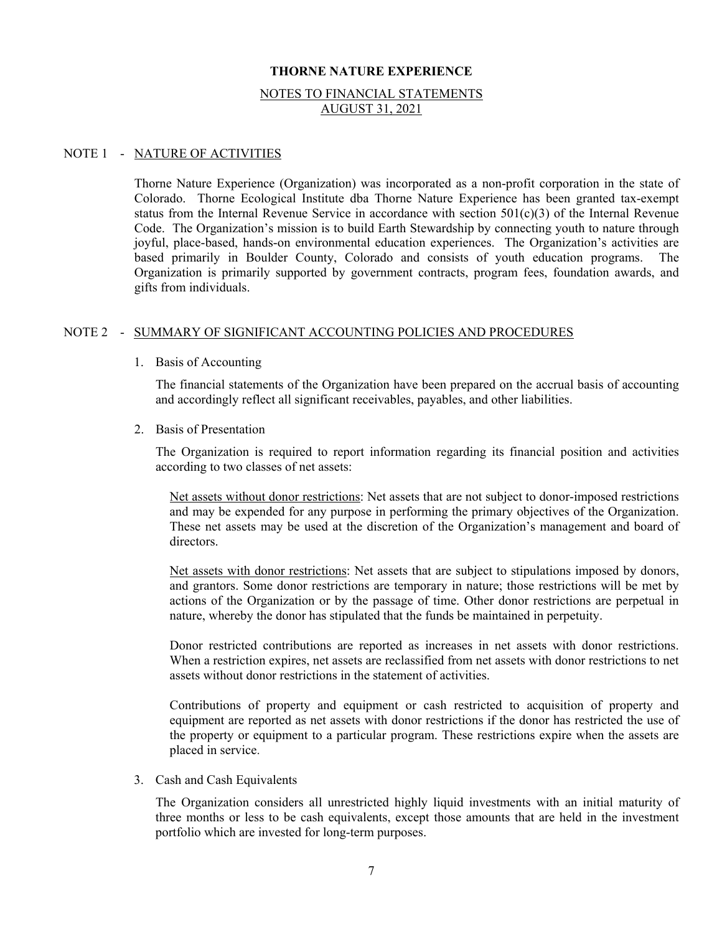#### NOTES TO FINANCIAL STATEMENTS AUGUST 31, 2021

#### NOTE 1 - NATURE OF ACTIVITIES

Thorne Nature Experience (Organization) was incorporated as a non-profit corporation in the state of Colorado. Thorne Ecological Institute dba Thorne Nature Experience has been granted tax-exempt status from the Internal Revenue Service in accordance with section  $501(c)(3)$  of the Internal Revenue Code. The Organization's mission is to build Earth Stewardship by connecting youth to nature through joyful, place-based, hands-on environmental education experiences. The Organization's activities are based primarily in Boulder County, Colorado and consists of youth education programs. The Organization is primarily supported by government contracts, program fees, foundation awards, and gifts from individuals.

#### NOTE 2 - SUMMARY OF SIGNIFICANT ACCOUNTING POLICIES AND PROCEDURES

1. Basis of Accounting

The financial statements of the Organization have been prepared on the accrual basis of accounting and accordingly reflect all significant receivables, payables, and other liabilities.

2. Basis of Presentation

The Organization is required to report information regarding its financial position and activities according to two classes of net assets:

Net assets without donor restrictions: Net assets that are not subject to donor-imposed restrictions and may be expended for any purpose in performing the primary objectives of the Organization. These net assets may be used at the discretion of the Organization's management and board of directors.

Net assets with donor restrictions: Net assets that are subject to stipulations imposed by donors, and grantors. Some donor restrictions are temporary in nature; those restrictions will be met by actions of the Organization or by the passage of time. Other donor restrictions are perpetual in nature, whereby the donor has stipulated that the funds be maintained in perpetuity.

Donor restricted contributions are reported as increases in net assets with donor restrictions. When a restriction expires, net assets are reclassified from net assets with donor restrictions to net assets without donor restrictions in the statement of activities.

Contributions of property and equipment or cash restricted to acquisition of property and equipment are reported as net assets with donor restrictions if the donor has restricted the use of the property or equipment to a particular program. These restrictions expire when the assets are placed in service.

3. Cash and Cash Equivalents

The Organization considers all unrestricted highly liquid investments with an initial maturity of three months or less to be cash equivalents, except those amounts that are held in the investment portfolio which are invested for long-term purposes.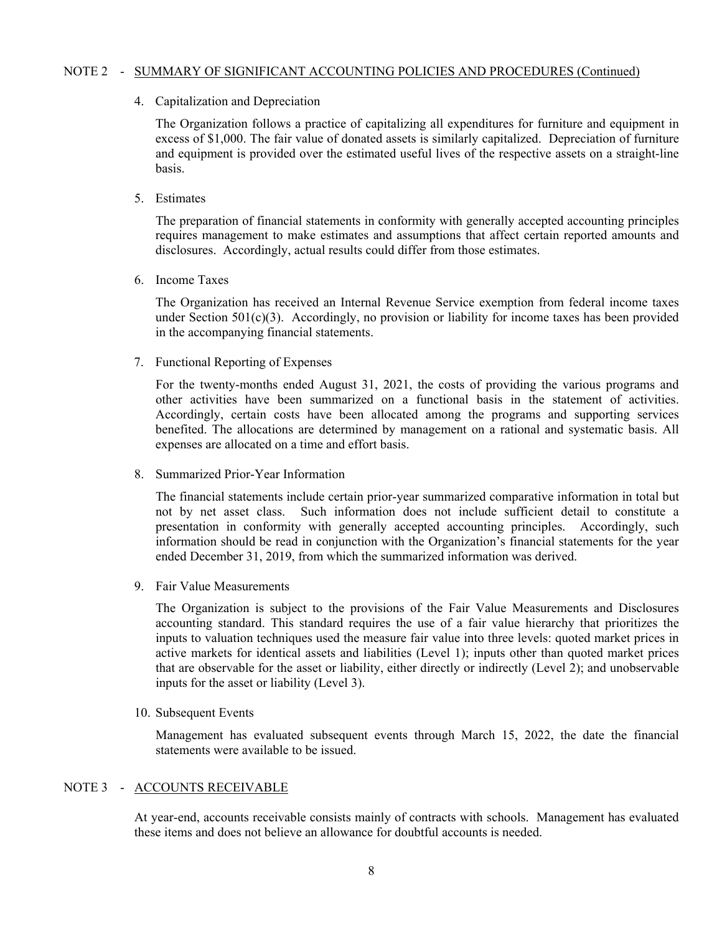#### NOTE 2 - SUMMARY OF SIGNIFICANT ACCOUNTING POLICIES AND PROCEDURES (Continued)

4. Capitalization and Depreciation

The Organization follows a practice of capitalizing all expenditures for furniture and equipment in excess of \$1,000. The fair value of donated assets is similarly capitalized. Depreciation of furniture and equipment is provided over the estimated useful lives of the respective assets on a straight-line basis.

5. Estimates

The preparation of financial statements in conformity with generally accepted accounting principles requires management to make estimates and assumptions that affect certain reported amounts and disclosures. Accordingly, actual results could differ from those estimates.

6. Income Taxes

The Organization has received an Internal Revenue Service exemption from federal income taxes under Section 501(c)(3). Accordingly, no provision or liability for income taxes has been provided in the accompanying financial statements.

7. Functional Reporting of Expenses

For the twenty-months ended August 31, 2021, the costs of providing the various programs and other activities have been summarized on a functional basis in the statement of activities. Accordingly, certain costs have been allocated among the programs and supporting services benefited. The allocations are determined by management on a rational and systematic basis. All expenses are allocated on a time and effort basis.

8. Summarized Prior-Year Information

The financial statements include certain prior-year summarized comparative information in total but not by net asset class. Such information does not include sufficient detail to constitute a presentation in conformity with generally accepted accounting principles. Accordingly, such information should be read in conjunction with the Organization's financial statements for the year ended December 31, 2019, from which the summarized information was derived.

9. Fair Value Measurements

The Organization is subject to the provisions of the Fair Value Measurements and Disclosures accounting standard. This standard requires the use of a fair value hierarchy that prioritizes the inputs to valuation techniques used the measure fair value into three levels: quoted market prices in active markets for identical assets and liabilities (Level 1); inputs other than quoted market prices that are observable for the asset or liability, either directly or indirectly (Level 2); and unobservable inputs for the asset or liability (Level 3).

10. Subsequent Events

Management has evaluated subsequent events through March 15, 2022, the date the financial statements were available to be issued.

#### NOTE 3 - ACCOUNTS RECEIVABLE

At year-end, accounts receivable consists mainly of contracts with schools. Management has evaluated these items and does not believe an allowance for doubtful accounts is needed.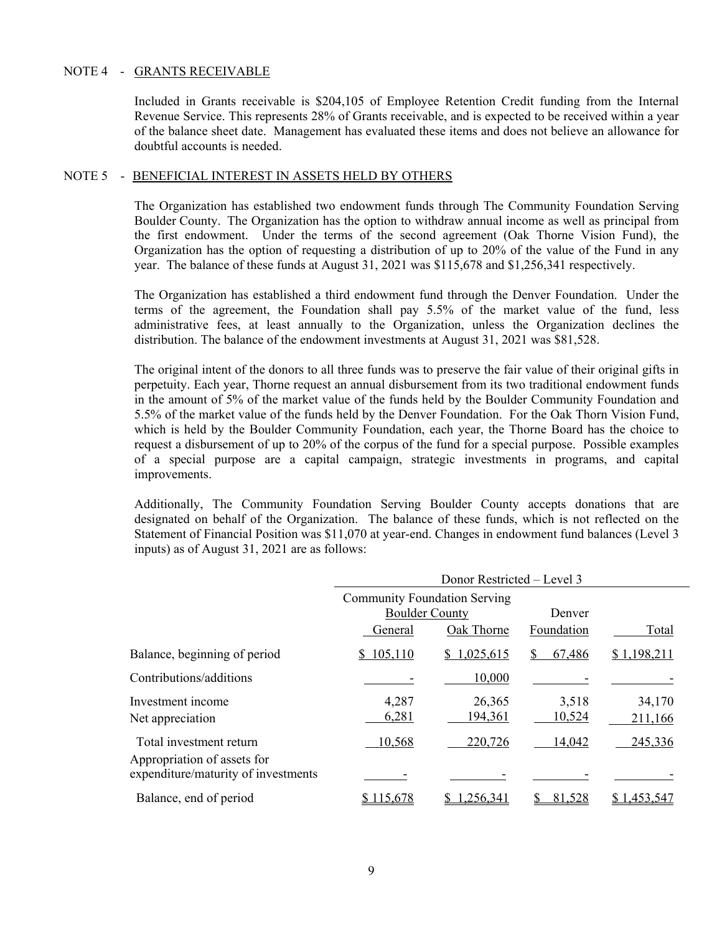#### NOTE 4 - GRANTS RECEIVABLE

Included in Grants receivable is \$204,105 of Employee Retention Credit funding from the Internal Revenue Service. This represents 28% of Grants receivable, and is expected to be received within a year of the balance sheet date. Management has evaluated these items and does not believe an allowance for doubtful accounts is needed.

#### NOTE 5 - BENEFICIAL INTEREST IN ASSETS HELD BY OTHERS

The Organization has established two endowment funds through The Community Foundation Serving Boulder County. The Organization has the option to withdraw annual income as well as principal from the first endowment. Under the terms of the second agreement (Oak Thorne Vision Fund), the Organization has the option of requesting a distribution of up to 20% of the value of the Fund in any year. The balance of these funds at August 31, 2021 was \$115,678 and \$1,256,341 respectively.

The Organization has established a third endowment fund through the Denver Foundation. Under the terms of the agreement, the Foundation shall pay 5.5% of the market value of the fund, less administrative fees, at least annually to the Organization, unless the Organization declines the distribution. The balance of the endowment investments at August 31, 2021 was \$81,528.

The original intent of the donors to all three funds was to preserve the fair value of their original gifts in perpetuity. Each year, Thorne request an annual disbursement from its two traditional endowment funds in the amount of 5% of the market value of the funds held by the Boulder Community Foundation and 5.5% of the market value of the funds held by the Denver Foundation. For the Oak Thorn Vision Fund, which is held by the Boulder Community Foundation, each year, the Thorne Board has the choice to request a disbursement of up to 20% of the corpus of the fund for a special purpose. Possible examples of a special purpose are a capital campaign, strategic investments in programs, and capital improvements.

Additionally, The Community Foundation Serving Boulder County accepts donations that are designated on behalf of the Organization. The balance of these funds, which is not reflected on the Statement of Financial Position was \$11,070 at year-end. Changes in endowment fund balances (Level 3 inputs) as of August 31, 2021 are as follows:

|                                                                                               | Donor Restricted - Level 3                                   |                   |                 |                   |
|-----------------------------------------------------------------------------------------------|--------------------------------------------------------------|-------------------|-----------------|-------------------|
|                                                                                               | <b>Community Foundation Serving</b><br><b>Boulder County</b> |                   | Denver          |                   |
|                                                                                               | General                                                      | Oak Thorne        | Foundation      | Total             |
| Balance, beginning of period                                                                  | \$105,110                                                    | \$1,025,615       | 67,486<br>S.    | \$1,198,211       |
| Contributions/additions                                                                       |                                                              | 10,000            |                 |                   |
| Investment income<br>Net appreciation                                                         | 4,287<br>6,281                                               | 26,365<br>194,361 | 3,518<br>10,524 | 34,170<br>211,166 |
| Total investment return<br>Appropriation of assets for<br>expenditure/maturity of investments | 10,568                                                       | 220,726           | 14,042          | 245,336           |
| Balance, end of period                                                                        | <u>115,678</u>                                               | .256.341          | 81,528          | \$1,453,547       |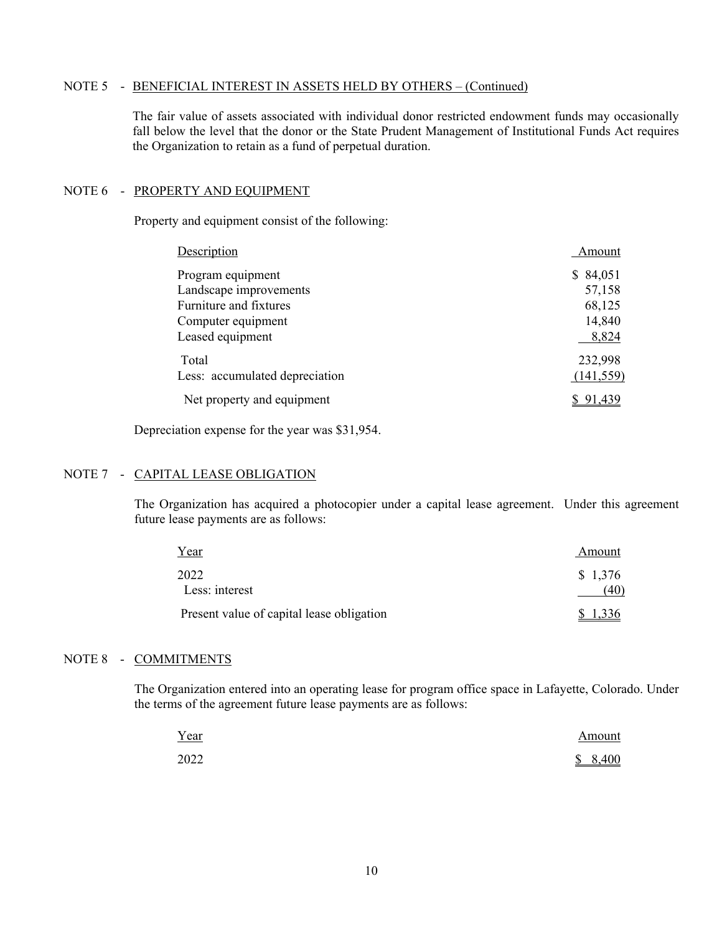#### NOTE 5 - BENEFICIAL INTEREST IN ASSETS HELD BY OTHERS - (Continued)

The fair value of assets associated with individual donor restricted endowment funds may occasionally fall below the level that the donor or the State Prudent Management of Institutional Funds Act requires the Organization to retain as a fund of perpetual duration.

#### NOTE 6 - PROPERTY AND EQUIPMENT

Property and equipment consist of the following:

| Description                    | Amount     |
|--------------------------------|------------|
| Program equipment              | \$84,051   |
| Landscape improvements         | 57,158     |
| Furniture and fixtures         | 68,125     |
| Computer equipment             | 14,840     |
| Leased equipment               | 8,824      |
| Total                          | 232,998    |
| Less: accumulated depreciation | (141, 559) |
| Net property and equipment     | \$91.439   |

Depreciation expense for the year was \$31,954.

## NOTE 7 - CAPITAL LEASE OBLIGATION

The Organization has acquired a photocopier under a capital lease agreement. Under this agreement future lease payments are as follows:

| Year                                      | Amount  |
|-------------------------------------------|---------|
| 2022                                      | \$1,376 |
| Less: interest                            | (40)    |
| Present value of capital lease obligation |         |

#### NOTE 8 - COMMITMENTS

The Organization entered into an operating lease for program office space in Lafayette, Colorado. Under the terms of the agreement future lease payments are as follows:

| <u>Year</u> | Amount  |
|-------------|---------|
| 2022        | \$8,400 |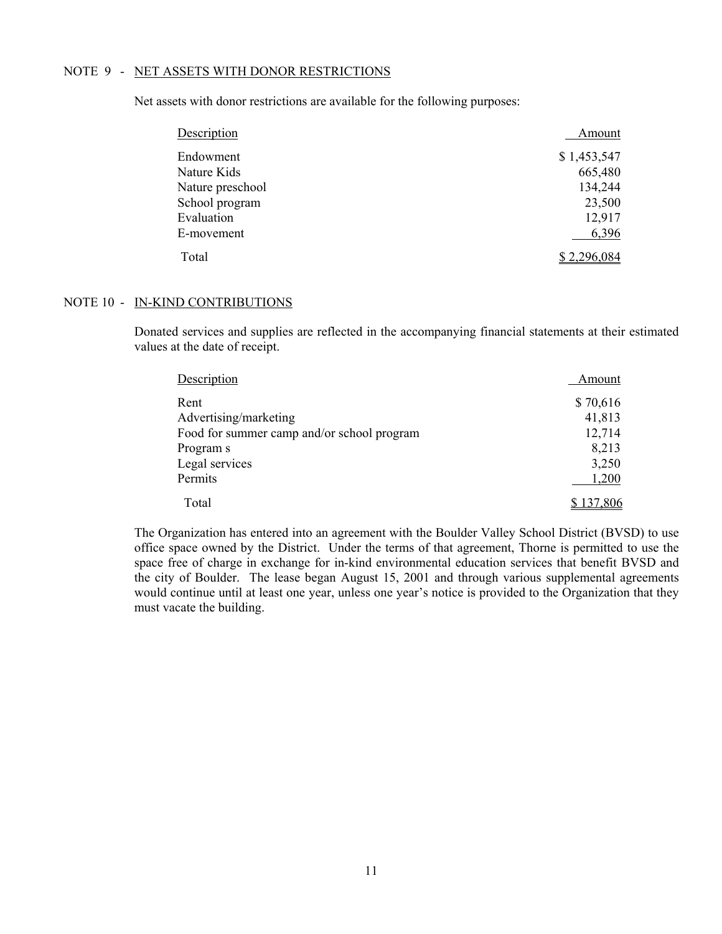#### NOTE 9 - NET ASSETS WITH DONOR RESTRICTIONS

Net assets with donor restrictions are available for the following purposes:

| Description      | Amount      |
|------------------|-------------|
| Endowment        | \$1,453,547 |
| Nature Kids      | 665,480     |
| Nature preschool | 134,244     |
| School program   | 23,500      |
| Evaluation       | 12,917      |
| E-movement       | 6,396       |
| Total            | 2,296,084   |

#### NOTE 10 - IN-KIND CONTRIBUTIONS

Donated services and supplies are reflected in the accompanying financial statements at their estimated values at the date of receipt.

| Description                                | Amount    |
|--------------------------------------------|-----------|
| Rent                                       | \$70,616  |
| Advertising/marketing                      | 41,813    |
| Food for summer camp and/or school program | 12,714    |
| Program s                                  | 8,213     |
| Legal services                             | 3,250     |
| Permits                                    | 1,200     |
| Total                                      | \$137,806 |

The Organization has entered into an agreement with the Boulder Valley School District (BVSD) to use office space owned by the District. Under the terms of that agreement, Thorne is permitted to use the space free of charge in exchange for in-kind environmental education services that benefit BVSD and the city of Boulder. The lease began August 15, 2001 and through various supplemental agreements would continue until at least one year, unless one year's notice is provided to the Organization that they must vacate the building.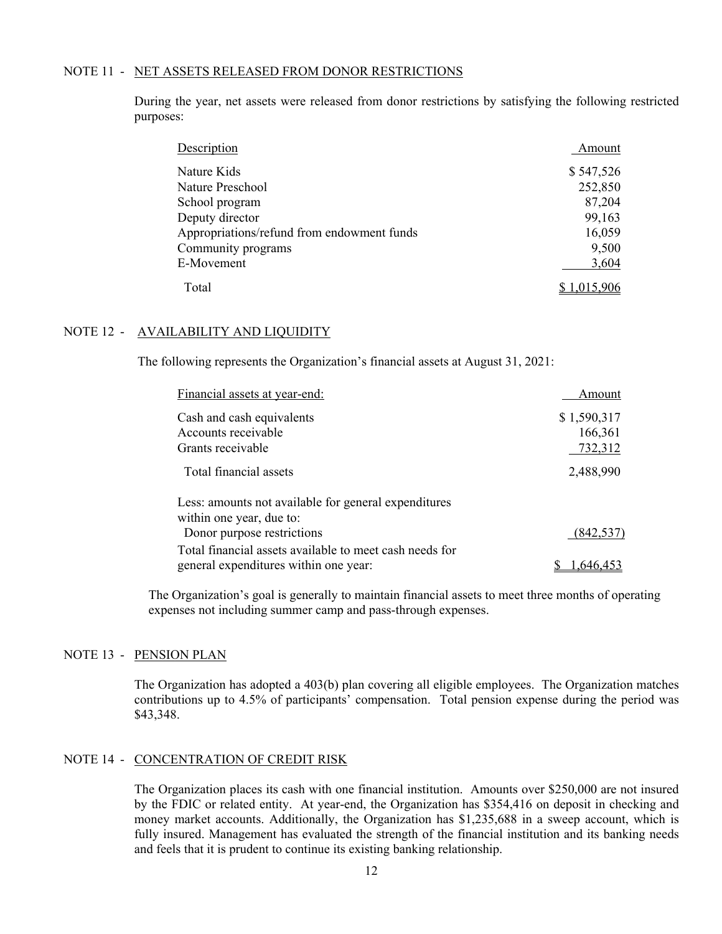#### NOTE 11 - NET ASSETS RELEASED FROM DONOR RESTRICTIONS

During the year, net assets were released from donor restrictions by satisfying the following restricted purposes:

| Description                                | Amount      |
|--------------------------------------------|-------------|
| Nature Kids                                | \$547,526   |
| Nature Preschool                           | 252,850     |
| School program                             | 87,204      |
| Deputy director                            | 99,163      |
| Appropriations/refund from endowment funds | 16,059      |
| Community programs                         | 9,500       |
| E-Movement                                 | 3,604       |
| Total                                      | \$1,015,906 |

#### NOTE 12 - AVAILABILITY AND LIQUIDITY

The following represents the Organization's financial assets at August 31, 2021:

| Financial assets at year-end:                           | Amount      |
|---------------------------------------------------------|-------------|
| Cash and cash equivalents                               | \$1,590,317 |
| Accounts receivable                                     | 166,361     |
| Grants receivable                                       | 732,312     |
| Total financial assets                                  | 2,488,990   |
| Less: amounts not available for general expenditures    |             |
| within one year, due to:                                |             |
| Donor purpose restrictions                              | (842, 537)  |
| Total financial assets available to meet cash needs for |             |
| general expenditures within one year:                   | 1,646,453   |

The Organization's goal is generally to maintain financial assets to meet three months of operating expenses not including summer camp and pass-through expenses.

#### NOTE 13 - PENSION PLAN

The Organization has adopted a 403(b) plan covering all eligible employees. The Organization matches contributions up to 4.5% of participants' compensation. Total pension expense during the period was \$43,348.

#### NOTE 14 - CONCENTRATION OF CREDIT RISK

The Organization places its cash with one financial institution. Amounts over \$250,000 are not insured by the FDIC or related entity. At year-end, the Organization has \$354,416 on deposit in checking and money market accounts. Additionally, the Organization has \$1,235,688 in a sweep account, which is fully insured. Management has evaluated the strength of the financial institution and its banking needs and feels that it is prudent to continue its existing banking relationship.